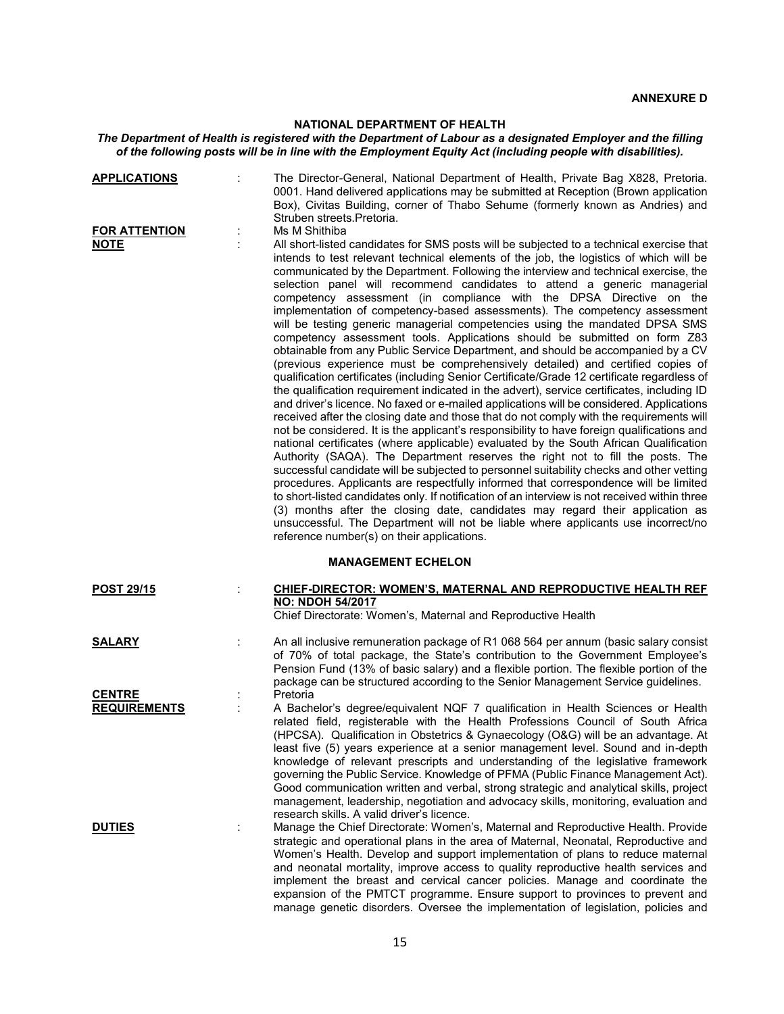## **NATIONAL DEPARTMENT OF HEALTH**

## *The Department of Health is registered with the Department of Labour as a designated Employer and the filling of the following posts will be in line with the Employment Equity Act (including people with disabilities).*

| <b>APPLICATIONS</b>                  | The Director-General, National Department of Health, Private Bag X828, Pretoria.<br>0001. Hand delivered applications may be submitted at Reception (Brown application<br>Box), Civitas Building, corner of Thabo Sehume (formerly known as Andries) and<br>Struben streets. Pretoria.                                                                                                                                                                                                                                                                                                                                                                                                                                                                                                                                                                                                                                                                                                                                                                                                                                                                                                                                                                                                                                                                                                                                                                                                                                                                                                                                                                                                                                                                                                                                                                                                                                                                                                                                              |
|--------------------------------------|-------------------------------------------------------------------------------------------------------------------------------------------------------------------------------------------------------------------------------------------------------------------------------------------------------------------------------------------------------------------------------------------------------------------------------------------------------------------------------------------------------------------------------------------------------------------------------------------------------------------------------------------------------------------------------------------------------------------------------------------------------------------------------------------------------------------------------------------------------------------------------------------------------------------------------------------------------------------------------------------------------------------------------------------------------------------------------------------------------------------------------------------------------------------------------------------------------------------------------------------------------------------------------------------------------------------------------------------------------------------------------------------------------------------------------------------------------------------------------------------------------------------------------------------------------------------------------------------------------------------------------------------------------------------------------------------------------------------------------------------------------------------------------------------------------------------------------------------------------------------------------------------------------------------------------------------------------------------------------------------------------------------------------------|
| <b>FOR ATTENTION</b><br><b>NOTE</b>  | Ms M Shithiba<br>All short-listed candidates for SMS posts will be subjected to a technical exercise that<br>intends to test relevant technical elements of the job, the logistics of which will be<br>communicated by the Department. Following the interview and technical exercise, the<br>selection panel will recommend candidates to attend a generic managerial<br>competency assessment (in compliance with the DPSA Directive on the<br>implementation of competency-based assessments). The competency assessment<br>will be testing generic managerial competencies using the mandated DPSA SMS<br>competency assessment tools. Applications should be submitted on form Z83<br>obtainable from any Public Service Department, and should be accompanied by a CV<br>(previous experience must be comprehensively detailed) and certified copies of<br>qualification certificates (including Senior Certificate/Grade 12 certificate regardless of<br>the qualification requirement indicated in the advert), service certificates, including ID<br>and driver's licence. No faxed or e-mailed applications will be considered. Applications<br>received after the closing date and those that do not comply with the requirements will<br>not be considered. It is the applicant's responsibility to have foreign qualifications and<br>national certificates (where applicable) evaluated by the South African Qualification<br>Authority (SAQA). The Department reserves the right not to fill the posts. The<br>successful candidate will be subjected to personnel suitability checks and other vetting<br>procedures. Applicants are respectfully informed that correspondence will be limited<br>to short-listed candidates only. If notification of an interview is not received within three<br>(3) months after the closing date, candidates may regard their application as<br>unsuccessful. The Department will not be liable where applicants use incorrect/no<br>reference number(s) on their applications. |
|                                      | <b>MANAGEMENT ECHELON</b>                                                                                                                                                                                                                                                                                                                                                                                                                                                                                                                                                                                                                                                                                                                                                                                                                                                                                                                                                                                                                                                                                                                                                                                                                                                                                                                                                                                                                                                                                                                                                                                                                                                                                                                                                                                                                                                                                                                                                                                                           |
| POST 29/15                           | <b>CHIEF-DIRECTOR: WOMEN'S, MATERNAL AND REPRODUCTIVE HEALTH REF</b><br><b>NO: NDOH 54/2017</b><br>Chief Directorate: Women's, Maternal and Reproductive Health                                                                                                                                                                                                                                                                                                                                                                                                                                                                                                                                                                                                                                                                                                                                                                                                                                                                                                                                                                                                                                                                                                                                                                                                                                                                                                                                                                                                                                                                                                                                                                                                                                                                                                                                                                                                                                                                     |
| <b>SALARY</b>                        | An all inclusive remuneration package of R1 068 564 per annum (basic salary consist<br>of 70% of total package, the State's contribution to the Government Employee's<br>Pension Fund (13% of basic salary) and a flexible portion. The flexible portion of the<br>package can be structured according to the Senior Management Service guidelines.                                                                                                                                                                                                                                                                                                                                                                                                                                                                                                                                                                                                                                                                                                                                                                                                                                                                                                                                                                                                                                                                                                                                                                                                                                                                                                                                                                                                                                                                                                                                                                                                                                                                                 |
| <b>CENTRE</b><br><b>REQUIREMENTS</b> | Pretoria<br>A Bachelor's degree/equivalent NQF 7 qualification in Health Sciences or Health<br>related field, registerable with the Health Professions Council of South Africa<br>(HPCSA). Qualification in Obstetrics & Gynaecology (O&G) will be an advantage. At<br>least five (5) years experience at a senior management level. Sound and in-depth<br>knowledge of relevant prescripts and understanding of the legislative framework<br>governing the Public Service. Knowledge of PFMA (Public Finance Management Act).<br>Good communication written and verbal, strong strategic and analytical skills, project<br>management, leadership, negotiation and advocacy skills, monitoring, evaluation and<br>research skills. A valid driver's licence.                                                                                                                                                                                                                                                                                                                                                                                                                                                                                                                                                                                                                                                                                                                                                                                                                                                                                                                                                                                                                                                                                                                                                                                                                                                                       |
| <b>DUTIES</b>                        | Manage the Chief Directorate: Women's, Maternal and Reproductive Health. Provide<br>strategic and operational plans in the area of Maternal, Neonatal, Reproductive and<br>Women's Health. Develop and support implementation of plans to reduce maternal<br>and neonatal mortality, improve access to quality reproductive health services and<br>implement the breast and cervical cancer policies. Manage and coordinate the<br>expansion of the PMTCT programme. Ensure support to provinces to prevent and<br>manage genetic disorders. Oversee the implementation of legislation, policies and                                                                                                                                                                                                                                                                                                                                                                                                                                                                                                                                                                                                                                                                                                                                                                                                                                                                                                                                                                                                                                                                                                                                                                                                                                                                                                                                                                                                                                |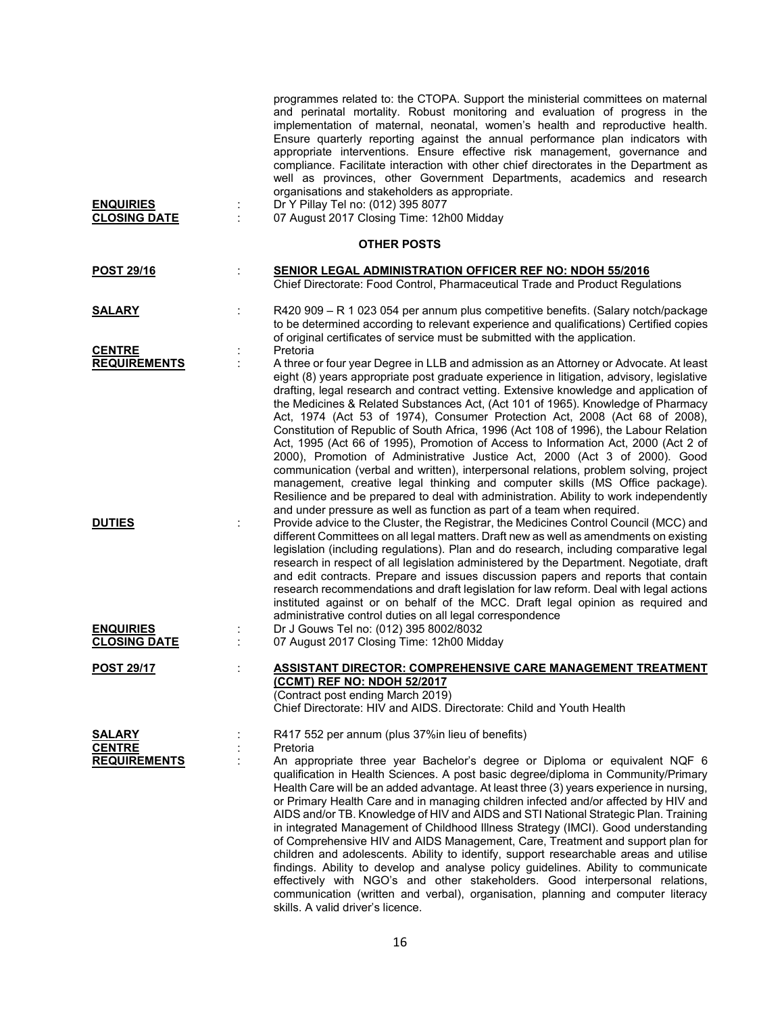| <b>ENQUIRIES</b><br><b>CLOSING DATE</b>               | ÷ | programmes related to: the CTOPA. Support the ministerial committees on maternal<br>and perinatal mortality. Robust monitoring and evaluation of progress in the<br>implementation of maternal, neonatal, women's health and reproductive health.<br>Ensure quarterly reporting against the annual performance plan indicators with<br>appropriate interventions. Ensure effective risk management, governance and<br>compliance. Facilitate interaction with other chief directorates in the Department as<br>well as provinces, other Government Departments, academics and research<br>organisations and stakeholders as appropriate.<br>Dr Y Pillay Tel no: (012) 395 8077<br>07 August 2017 Closing Time: 12h00 Midday                                                                                                                                                                                                                                                                                                                                              |
|-------------------------------------------------------|---|--------------------------------------------------------------------------------------------------------------------------------------------------------------------------------------------------------------------------------------------------------------------------------------------------------------------------------------------------------------------------------------------------------------------------------------------------------------------------------------------------------------------------------------------------------------------------------------------------------------------------------------------------------------------------------------------------------------------------------------------------------------------------------------------------------------------------------------------------------------------------------------------------------------------------------------------------------------------------------------------------------------------------------------------------------------------------|
|                                                       |   | <b>OTHER POSTS</b>                                                                                                                                                                                                                                                                                                                                                                                                                                                                                                                                                                                                                                                                                                                                                                                                                                                                                                                                                                                                                                                       |
| <b>POST 29/16</b>                                     |   | <b>SENIOR LEGAL ADMINISTRATION OFFICER REF NO: NDOH 55/2016</b><br>Chief Directorate: Food Control, Pharmaceutical Trade and Product Regulations                                                                                                                                                                                                                                                                                                                                                                                                                                                                                                                                                                                                                                                                                                                                                                                                                                                                                                                         |
| <u>SALARY</u><br><b>CENTRE</b>                        |   | R420 909 - R 1 023 054 per annum plus competitive benefits. (Salary notch/package<br>to be determined according to relevant experience and qualifications) Certified copies<br>of original certificates of service must be submitted with the application.<br>Pretoria                                                                                                                                                                                                                                                                                                                                                                                                                                                                                                                                                                                                                                                                                                                                                                                                   |
| <b>REQUIREMENTS</b>                                   |   | A three or four year Degree in LLB and admission as an Attorney or Advocate. At least<br>eight (8) years appropriate post graduate experience in litigation, advisory, legislative<br>drafting, legal research and contract vetting. Extensive knowledge and application of<br>the Medicines & Related Substances Act, (Act 101 of 1965). Knowledge of Pharmacy<br>Act, 1974 (Act 53 of 1974), Consumer Protection Act, 2008 (Act 68 of 2008),<br>Constitution of Republic of South Africa, 1996 (Act 108 of 1996), the Labour Relation<br>Act, 1995 (Act 66 of 1995), Promotion of Access to Information Act, 2000 (Act 2 of<br>2000), Promotion of Administrative Justice Act, 2000 (Act 3 of 2000). Good<br>communication (verbal and written), interpersonal relations, problem solving, project<br>management, creative legal thinking and computer skills (MS Office package).<br>Resilience and be prepared to deal with administration. Ability to work independently<br>and under pressure as well as function as part of a team when required.                 |
| <b>DUTIES</b>                                         |   | Provide advice to the Cluster, the Registrar, the Medicines Control Council (MCC) and<br>different Committees on all legal matters. Draft new as well as amendments on existing<br>legislation (including regulations). Plan and do research, including comparative legal<br>research in respect of all legislation administered by the Department. Negotiate, draft<br>and edit contracts. Prepare and issues discussion papers and reports that contain<br>research recommendations and draft legislation for law reform. Deal with legal actions<br>instituted against or on behalf of the MCC. Draft legal opinion as required and<br>administrative control duties on all legal correspondence                                                                                                                                                                                                                                                                                                                                                                      |
| <b>ENQUIRIES</b><br><b>CLOSING DATE</b>               |   | Dr J Gouws Tel no: (012) 395 8002/8032<br>07 August 2017 Closing Time: 12h00 Midday                                                                                                                                                                                                                                                                                                                                                                                                                                                                                                                                                                                                                                                                                                                                                                                                                                                                                                                                                                                      |
| <u>POST 29/17</u>                                     |   | <b>ASSISTANT DIRECTOR: COMPREHENSIVE CARE MANAGEMENT TREATMENT</b><br>(CCMT) REF NO: NDOH 52/2017<br>(Contract post ending March 2019)<br>Chief Directorate: HIV and AIDS. Directorate: Child and Youth Health                                                                                                                                                                                                                                                                                                                                                                                                                                                                                                                                                                                                                                                                                                                                                                                                                                                           |
| <b>SALARY</b><br><b>CENTRE</b><br><b>REQUIREMENTS</b> |   | R417 552 per annum (plus 37%in lieu of benefits)<br>Pretoria<br>An appropriate three year Bachelor's degree or Diploma or equivalent NQF 6<br>qualification in Health Sciences. A post basic degree/diploma in Community/Primary<br>Health Care will be an added advantage. At least three (3) years experience in nursing,<br>or Primary Health Care and in managing children infected and/or affected by HIV and<br>AIDS and/or TB. Knowledge of HIV and AIDS and STI National Strategic Plan. Training<br>in integrated Management of Childhood Illness Strategy (IMCI). Good understanding<br>of Comprehensive HIV and AIDS Management, Care, Treatment and support plan for<br>children and adolescents. Ability to identify, support researchable areas and utilise<br>findings. Ability to develop and analyse policy guidelines. Ability to communicate<br>effectively with NGO's and other stakeholders. Good interpersonal relations,<br>communication (written and verbal), organisation, planning and computer literacy<br>skills. A valid driver's licence. |